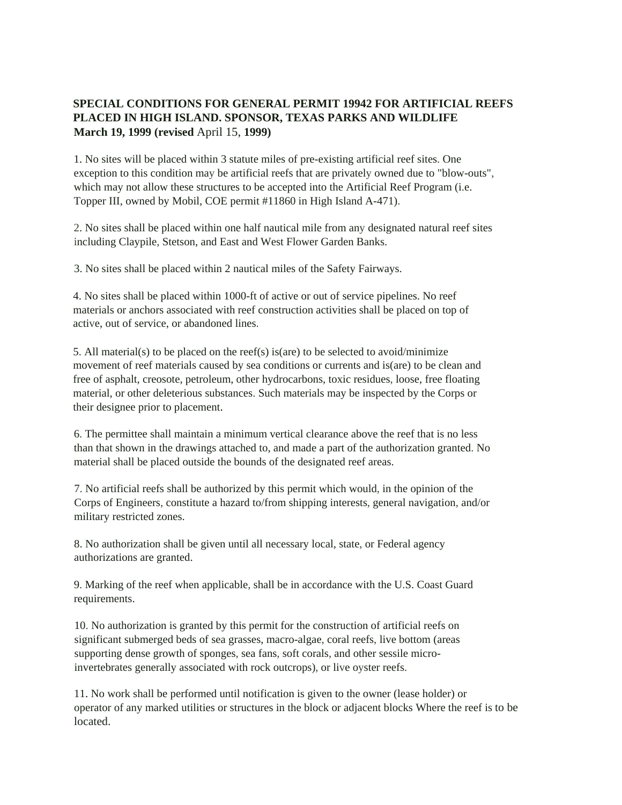## **SPECIAL CONDITIONS FOR GENERAL PERMIT 19942 FOR ARTIFICIAL REEFS PLACED IN HIGH ISLAND. SPONSOR, TEXAS PARKS AND WILDLIFE March 19, 1999 (revised** April 15, **1999)**

1. No sites will be placed within 3 statute miles of pre-existing artificial reef sites. One exception to this condition may be artificial reefs that are privately owned due to "blow-outs", which may not allow these structures to be accepted into the Artificial Reef Program (i.e. Topper III, owned by Mobil, COE permit #11860 in High Island A-471).

2. No sites shall be placed within one half nautical mile from any designated natural reef sites including Claypile, Stetson, and East and West Flower Garden Banks.

3. No sites shall be placed within 2 nautical miles of the Safety Fairways.

4. No sites shall be placed within 1000-ft of active or out of service pipelines. No reef materials or anchors associated with reef construction activities shall be placed on top of active, out of service, or abandoned lines.

5. All material(s) to be placed on the reef(s) is(are) to be selected to avoid/minimize movement of reef materials caused by sea conditions or currents and is(are) to be clean and free of asphalt, creosote, petroleum, other hydrocarbons, toxic residues, loose, free floating material, or other deleterious substances. Such materials may be inspected by the Corps or their designee prior to placement.

6. The permittee shall maintain a minimum vertical clearance above the reef that is no less than that shown in the drawings attached to, and made a part of the authorization granted. No material shall be placed outside the bounds of the designated reef areas.

7. No artificial reefs shall be authorized by this permit which would, in the opinion of the Corps of Engineers, constitute a hazard to/from shipping interests, general navigation, and/or military restricted zones.

8. No authorization shall be given until all necessary local, state, or Federal agency authorizations are granted.

9. Marking of the reef when applicable, shall be in accordance with the U.S. Coast Guard requirements.

10. No authorization is granted by this permit for the construction of artificial reefs on significant submerged beds of sea grasses, macro-algae, coral reefs, live bottom (areas supporting dense growth of sponges, sea fans, soft corals, and other sessile microinvertebrates generally associated with rock outcrops), or live oyster reefs.

11. No work shall be performed until notification is given to the owner (lease holder) or operator of any marked utilities or structures in the block or adjacent blocks Where the reef is to be located.